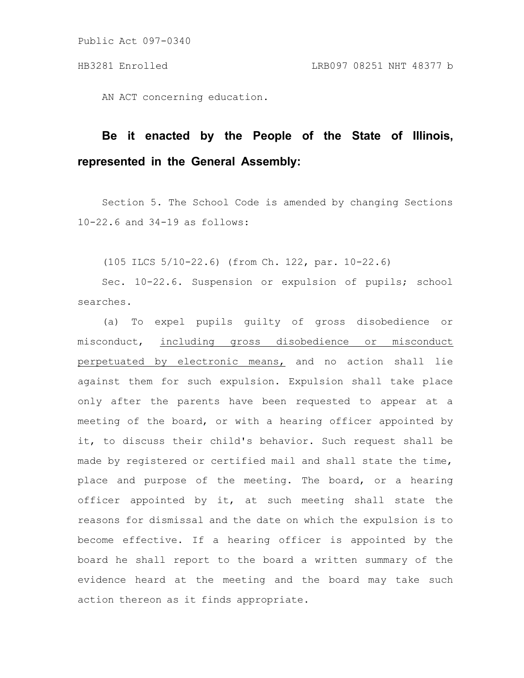Public Act 097-0340

AN ACT concerning education.

## **Be it enacted by the People of the State of Illinois, represented in the General Assembly:**

Section 5. The School Code is amended by changing Sections 10-22.6 and 34-19 as follows:

(105 ILCS 5/10-22.6) (from Ch. 122, par. 10-22.6)

Sec. 10-22.6. Suspension or expulsion of pupils; school searches.

(a) To expel pupils guilty of gross disobedience or misconduct, including gross disobedience or misconduct perpetuated by electronic means, and no action shall lie against them for such expulsion. Expulsion shall take place only after the parents have been requested to appear at a meeting of the board, or with a hearing officer appointed by it, to discuss their child's behavior. Such request shall be made by registered or certified mail and shall state the time, place and purpose of the meeting. The board, or a hearing officer appointed by it, at such meeting shall state the reasons for dismissal and the date on which the expulsion is to become effective. If a hearing officer is appointed by the board he shall report to the board a written summary of the evidence heard at the meeting and the board may take such action thereon as it finds appropriate.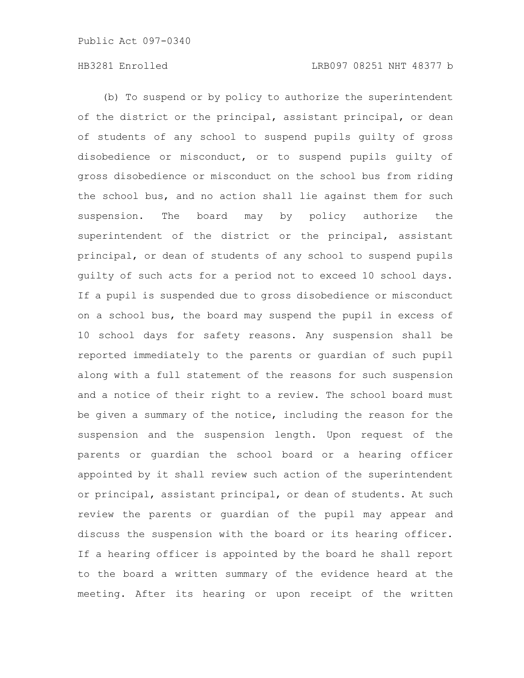(b) To suspend or by policy to authorize the superintendent of the district or the principal, assistant principal, or dean of students of any school to suspend pupils guilty of gross disobedience or misconduct, or to suspend pupils guilty of gross disobedience or misconduct on the school bus from riding the school bus, and no action shall lie against them for such suspension. The board may by policy authorize the superintendent of the district or the principal, assistant principal, or dean of students of any school to suspend pupils guilty of such acts for a period not to exceed 10 school days. If a pupil is suspended due to gross disobedience or misconduct on a school bus, the board may suspend the pupil in excess of 10 school days for safety reasons. Any suspension shall be reported immediately to the parents or guardian of such pupil along with a full statement of the reasons for such suspension and a notice of their right to a review. The school board must be given a summary of the notice, including the reason for the suspension and the suspension length. Upon request of the parents or guardian the school board or a hearing officer appointed by it shall review such action of the superintendent or principal, assistant principal, or dean of students. At such review the parents or guardian of the pupil may appear and discuss the suspension with the board or its hearing officer. If a hearing officer is appointed by the board he shall report to the board a written summary of the evidence heard at the meeting. After its hearing or upon receipt of the written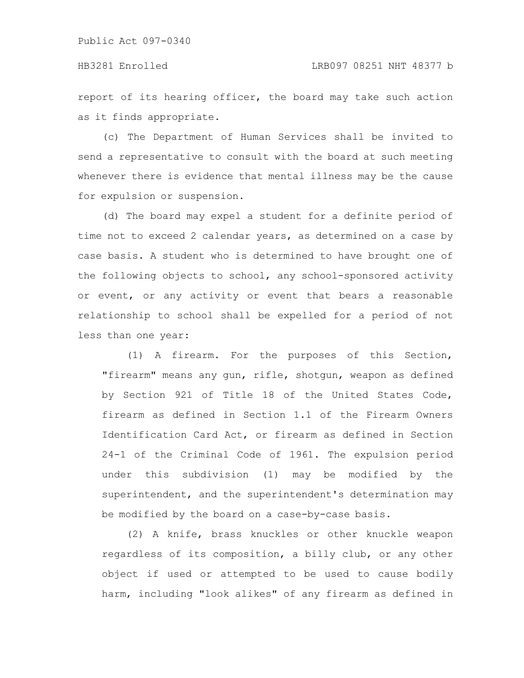## HB3281 Enrolled LRB097 08251 NHT 48377 b

report of its hearing officer, the board may take such action as it finds appropriate.

(c) The Department of Human Services shall be invited to send a representative to consult with the board at such meeting whenever there is evidence that mental illness may be the cause for expulsion or suspension.

(d) The board may expel a student for a definite period of time not to exceed 2 calendar years, as determined on a case by case basis. A student who is determined to have brought one of the following objects to school, any school-sponsored activity or event, or any activity or event that bears a reasonable relationship to school shall be expelled for a period of not less than one year:

(1) A firearm. For the purposes of this Section, "firearm" means any gun, rifle, shotgun, weapon as defined by Section 921 of Title 18 of the United States Code, firearm as defined in Section 1.1 of the Firearm Owners Identification Card Act, or firearm as defined in Section 24-1 of the Criminal Code of 1961. The expulsion period under this subdivision (1) may be modified by the superintendent, and the superintendent's determination may be modified by the board on a case-by-case basis.

(2) A knife, brass knuckles or other knuckle weapon regardless of its composition, a billy club, or any other object if used or attempted to be used to cause bodily harm, including "look alikes" of any firearm as defined in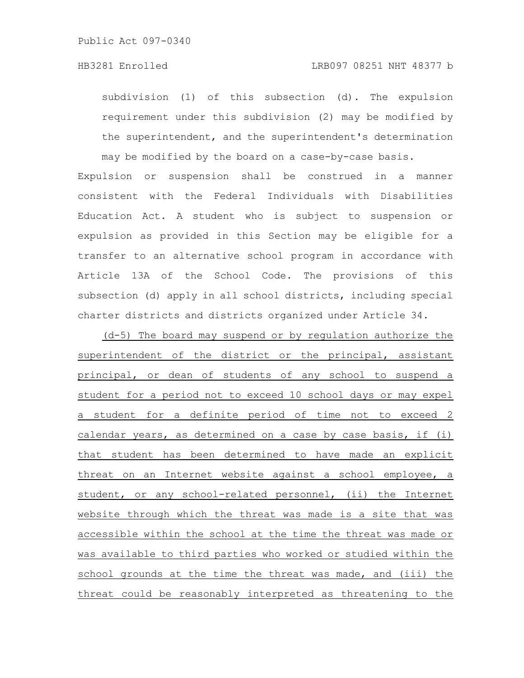subdivision (1) of this subsection (d). The expulsion requirement under this subdivision (2) may be modified by the superintendent, and the superintendent's determination may be modified by the board on a case-by-case basis.

Expulsion or suspension shall be construed in a manner consistent with the Federal Individuals with Disabilities Education Act. A student who is subject to suspension or expulsion as provided in this Section may be eligible for a transfer to an alternative school program in accordance with Article 13A of the School Code. The provisions of this subsection (d) apply in all school districts, including special charter districts and districts organized under Article 34.

(d-5) The board may suspend or by regulation authorize the superintendent of the district or the principal, assistant principal, or dean of students of any school to suspend a student for a period not to exceed 10 school days or may expel a student for a definite period of time not to exceed 2 calendar years, as determined on a case by case basis, if (i) that student has been determined to have made an explicit threat on an Internet website against a school employee, a student, or any school-related personnel, (ii) the Internet website through which the threat was made is a site that was accessible within the school at the time the threat was made or was available to third parties who worked or studied within the school grounds at the time the threat was made, and (iii) the threat could be reasonably interpreted as threatening to the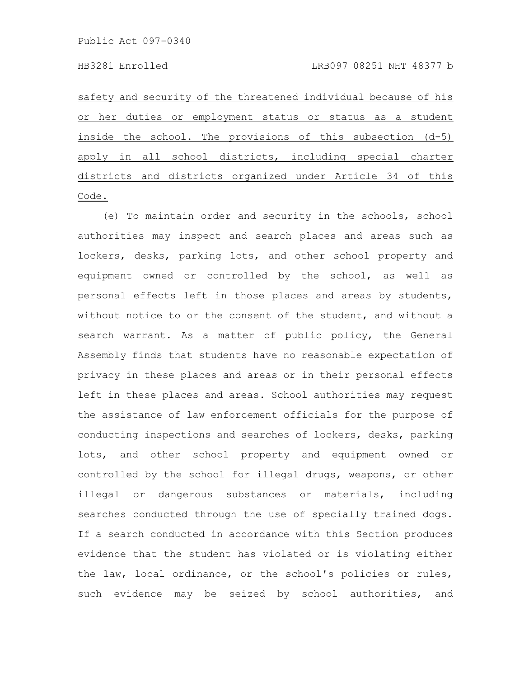safety and security of the threatened individual because of his or her duties or employment status or status as a student inside the school. The provisions of this subsection (d-5) apply in all school districts, including special charter districts and districts organized under Article 34 of this Code.

(e) To maintain order and security in the schools, school authorities may inspect and search places and areas such as lockers, desks, parking lots, and other school property and equipment owned or controlled by the school, as well as personal effects left in those places and areas by students, without notice to or the consent of the student, and without a search warrant. As a matter of public policy, the General Assembly finds that students have no reasonable expectation of privacy in these places and areas or in their personal effects left in these places and areas. School authorities may request the assistance of law enforcement officials for the purpose of conducting inspections and searches of lockers, desks, parking lots, and other school property and equipment owned or controlled by the school for illegal drugs, weapons, or other illegal or dangerous substances or materials, including searches conducted through the use of specially trained dogs. If a search conducted in accordance with this Section produces evidence that the student has violated or is violating either the law, local ordinance, or the school's policies or rules, such evidence may be seized by school authorities, and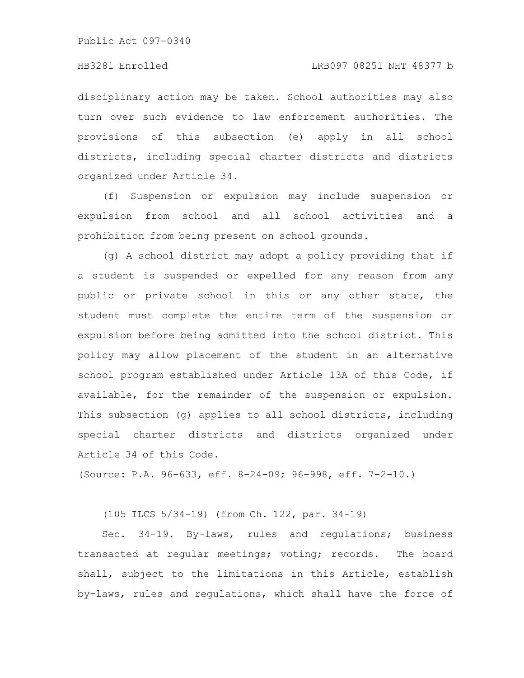Public Act 097-0340

disciplinary action may be taken. School authorities may also turn over such evidence to law enforcement authorities. The provisions of this subsection (e) apply in all school districts, including special charter districts and districts organized under Article 34.

(f) Suspension or expulsion may include suspension or expulsion from school and all school activities and a prohibition from being present on school grounds.

(g) A school district may adopt a policy providing that if a student is suspended or expelled for any reason from any public or private school in this or any other state, the student must complete the entire term of the suspension or expulsion before being admitted into the school district. This policy may allow placement of the student in an alternative school program established under Article 13A of this Code, if available, for the remainder of the suspension or expulsion. This subsection (g) applies to all school districts, including special charter districts and districts organized under Article 34 of this Code.

(Source: P.A. 96-633, eff. 8-24-09; 96-998, eff. 7-2-10.)

(105 ILCS 5/34-19) (from Ch. 122, par. 34-19)

Sec. 34-19. By-laws, rules and regulations; business transacted at regular meetings; voting; records. The board shall, subject to the limitations in this Article, establish by-laws, rules and regulations, which shall have the force of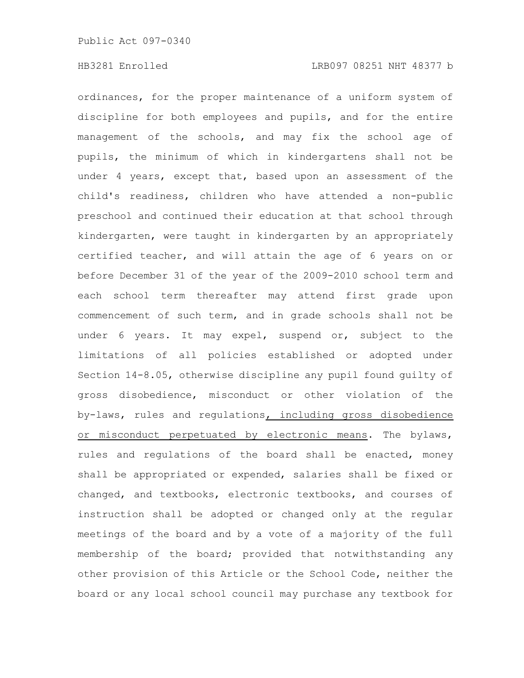ordinances, for the proper maintenance of a uniform system of discipline for both employees and pupils, and for the entire management of the schools, and may fix the school age of pupils, the minimum of which in kindergartens shall not be under 4 years, except that, based upon an assessment of the child's readiness, children who have attended a non-public preschool and continued their education at that school through kindergarten, were taught in kindergarten by an appropriately certified teacher, and will attain the age of 6 years on or before December 31 of the year of the 2009-2010 school term and each school term thereafter may attend first grade upon commencement of such term, and in grade schools shall not be under 6 years. It may expel, suspend or, subject to the limitations of all policies established or adopted under Section 14-8.05, otherwise discipline any pupil found guilty of gross disobedience, misconduct or other violation of the by-laws, rules and regulations, including gross disobedience or misconduct perpetuated by electronic means. The bylaws, rules and regulations of the board shall be enacted, money shall be appropriated or expended, salaries shall be fixed or changed, and textbooks, electronic textbooks, and courses of instruction shall be adopted or changed only at the regular meetings of the board and by a vote of a majority of the full membership of the board; provided that notwithstanding any other provision of this Article or the School Code, neither the board or any local school council may purchase any textbook for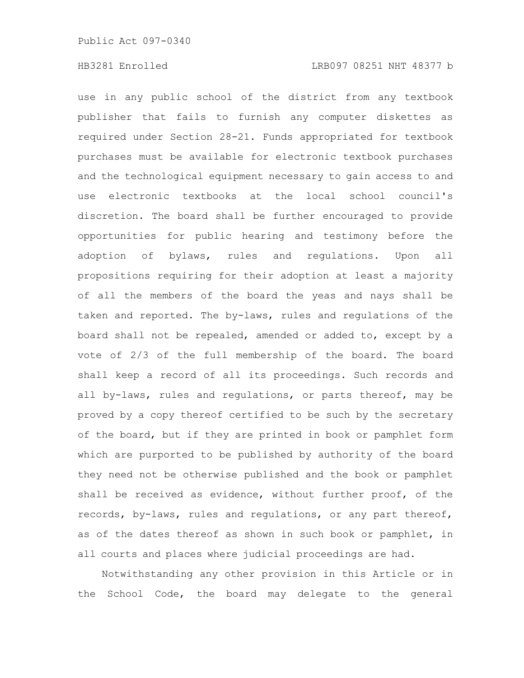use in any public school of the district from any textbook publisher that fails to furnish any computer diskettes as required under Section 28-21. Funds appropriated for textbook purchases must be available for electronic textbook purchases and the technological equipment necessary to gain access to and use electronic textbooks at the local school council's discretion. The board shall be further encouraged to provide opportunities for public hearing and testimony before the adoption of bylaws, rules and regulations. Upon all propositions requiring for their adoption at least a majority of all the members of the board the yeas and nays shall be taken and reported. The by-laws, rules and regulations of the board shall not be repealed, amended or added to, except by a vote of 2/3 of the full membership of the board. The board shall keep a record of all its proceedings. Such records and all by-laws, rules and regulations, or parts thereof, may be proved by a copy thereof certified to be such by the secretary of the board, but if they are printed in book or pamphlet form which are purported to be published by authority of the board they need not be otherwise published and the book or pamphlet shall be received as evidence, without further proof, of the records, by-laws, rules and regulations, or any part thereof, as of the dates thereof as shown in such book or pamphlet, in all courts and places where judicial proceedings are had.

Notwithstanding any other provision in this Article or in the School Code, the board may delegate to the general